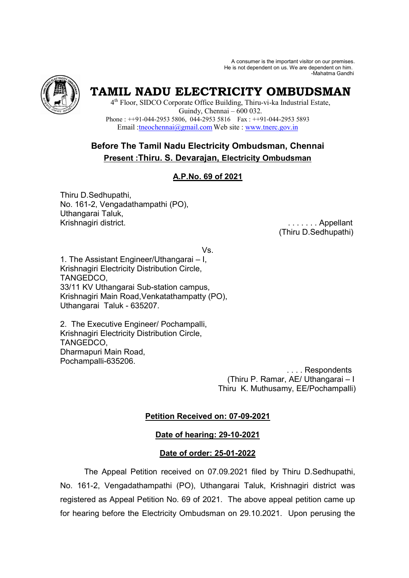A consumer is the important visitor on our premises. He is not dependent on us. We are dependent on him. -Mahatma Gandhi



# **TAMIL NADU ELECTRICITY OMBUDSMAN**

4 th Floor, SIDCO Corporate Office Building, Thiru-vi-ka Industrial Estate, Guindy, Chennai – 600 032. Phone : ++91-044-2953 5806, 044-2953 5816 Fax : ++91-044-2953 5893 Email :tneochennai@gmail.com Web site : www.tnerc.gov.in

## **Before The Tamil Nadu Electricity Ombudsman, Chennai Present :Thiru. S. Devarajan, Electricity Ombudsman**

## **A.P.No. 69 of 2021**

Thiru D.Sedhupathi, No. 161-2, Vengadathampathi (PO), Uthangarai Taluk, Krishnagiri district.

(Thiru D.Sedhupathi)

Vs.

1. The Assistant Engineer/Uthangarai – I, Krishnagiri Electricity Distribution Circle, TANGEDCO, 33/11 KV Uthangarai Sub-station campus, Krishnagiri Main Road,Venkatathampatty (PO), Uthangarai Taluk - 635207.

2. The Executive Engineer/ Pochampalli, Krishnagiri Electricity Distribution Circle, TANGEDCO, Dharmapuri Main Road, Pochampalli-635206.

 . . . . Respondents (Thiru P. Ramar, AE/ Uthangarai – I Thiru K. Muthusamy, EE/Pochampalli)

## **Petition Received on: 07-09-2021**

## **Date of hearing: 29-10-2021**

## **Date of order: 25-01-2022**

The Appeal Petition received on 07.09.2021 filed by Thiru D.Sedhupathi, No. 161-2, Vengadathampathi (PO), Uthangarai Taluk, Krishnagiri district was registered as Appeal Petition No. 69 of 2021. The above appeal petition came up for hearing before the Electricity Ombudsman on 29.10.2021. Upon perusing the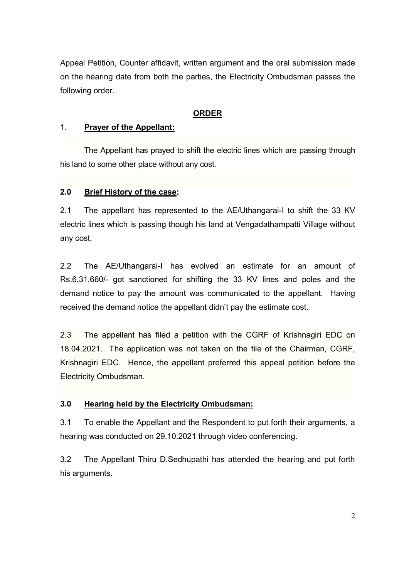Appeal Petition, Counter affidavit, written argument and the oral submission made on the hearing date from both the parties, the Electricity Ombudsman passes the following order.

## **ORDER**

#### 1. **Prayer of the Appellant:**

The Appellant has prayed to shift the electric lines which are passing through his land to some other place without any cost.

## **2.0 Brief History of the case:**

2.1 The appellant has represented to the AE/Uthangarai-I to shift the 33 KV electric lines which is passing though his land at Vengadathampatti Village without any cost.

2.2 The AE/Uthangarai-I has evolved an estimate for an amount of Rs.6,31,660/- got sanctioned for shifting the 33 KV lines and poles and the demand notice to pay the amount was communicated to the appellant. Having received the demand notice the appellant didn't pay the estimate cost.

2.3 The appellant has filed a petition with the CGRF of Krishnagiri EDC on 18.04.2021. The application was not taken on the file of the Chairman, CGRF, Krishnagiri EDC. Hence, the appellant preferred this appeal petition before the Electricity Ombudsman.

### **3.0 Hearing held by the Electricity Ombudsman:**

3.1 To enable the Appellant and the Respondent to put forth their arguments, a hearing was conducted on 29.10.2021 through video conferencing.

3.2 The Appellant Thiru D.Sedhupathi has attended the hearing and put forth his arguments.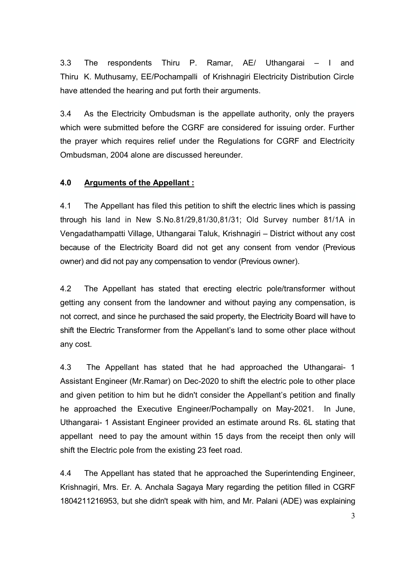3.3 The respondents Thiru P. Ramar, AE/ Uthangarai – I and Thiru K. Muthusamy, EE/Pochampalli of Krishnagiri Electricity Distribution Circle have attended the hearing and put forth their arguments.

3.4 As the Electricity Ombudsman is the appellate authority, only the prayers which were submitted before the CGRF are considered for issuing order. Further the prayer which requires relief under the Regulations for CGRF and Electricity Ombudsman, 2004 alone are discussed hereunder.

## **4.0 Arguments of the Appellant :**

4.1 The Appellant has filed this petition to shift the electric lines which is passing through his land in New S.No.81/29,81/30,81/31; Old Survey number 81/1A in Vengadathampatti Village, Uthangarai Taluk, Krishnagiri – District without any cost because of the Electricity Board did not get any consent from vendor (Previous owner) and did not pay any compensation to vendor (Previous owner).

4.2 The Appellant has stated that erecting electric pole/transformer without getting any consent from the landowner and without paying any compensation, is not correct, and since he purchased the said property, the Electricity Board will have to shift the Electric Transformer from the Appellant's land to some other place without any cost.

4.3 The Appellant has stated that he had approached the Uthangarai- 1 Assistant Engineer (Mr.Ramar) on Dec-2020 to shift the electric pole to other place and given petition to him but he didn't consider the Appellant's petition and finally he approached the Executive Engineer/Pochampally on May-2021. In June, Uthangarai- 1 Assistant Engineer provided an estimate around Rs. 6L stating that appellant need to pay the amount within 15 days from the receipt then only will shift the Electric pole from the existing 23 feet road.

4.4 The Appellant has stated that he approached the Superintending Engineer, Krishnagiri, Mrs. Er. A. Anchala Sagaya Mary regarding the petition filled in CGRF 1804211216953, but she didn't speak with him, and Mr. Palani (ADE) was explaining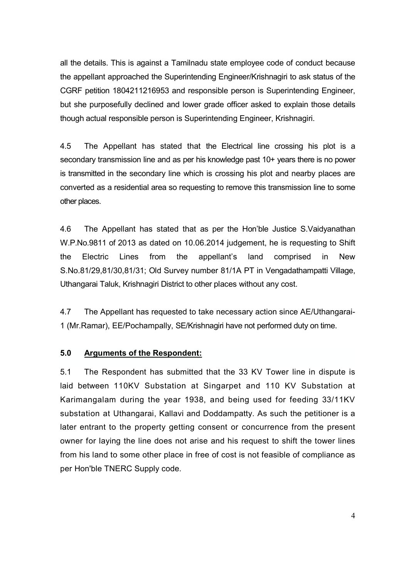all the details. This is against a Tamilnadu state employee code of conduct because the appellant approached the Superintending Engineer/Krishnagiri to ask status of the CGRF petition 1804211216953 and responsible person is Superintending Engineer, but she purposefully declined and lower grade officer asked to explain those details though actual responsible person is Superintending Engineer, Krishnagiri.

4.5 The Appellant has stated that the Electrical line crossing his plot is a secondary transmission line and as per his knowledge past 10+ years there is no power is transmitted in the secondary line which is crossing his plot and nearby places are converted as a residential area so requesting to remove this transmission line to some other places.

4.6 The Appellant has stated that as per the Hon'ble Justice S.Vaidyanathan W.P.No.9811 of 2013 as dated on 10.06.2014 judgement, he is requesting to Shift the Electric Lines from the appellant's land comprised in New S.No.81/29,81/30,81/31; Old Survey number 81/1A PT in Vengadathampatti Village, Uthangarai Taluk, Krishnagiri District to other places without any cost.

4.7 The Appellant has requested to take necessary action since AE/Uthangarai-1 (Mr.Ramar), EE/Pochampally, SE/Krishnagiri have not performed duty on time.

### **5.0 Arguments of the Respondent:**

5.1 The Respondent has submitted that the 33 KV Tower line in dispute is laid between 110KV Substation at Singarpet and 110 KV Substation at Karimangalam during the year 1938, and being used for feeding 33/11KV substation at Uthangarai, Kallavi and Doddampatty. As such the petitioner is a later entrant to the property getting consent or concurrence from the present owner for laying the line does not arise and his request to shift the tower lines from his land to some other place in free of cost is not feasible of compliance as per Hon'ble TNERC Supply code.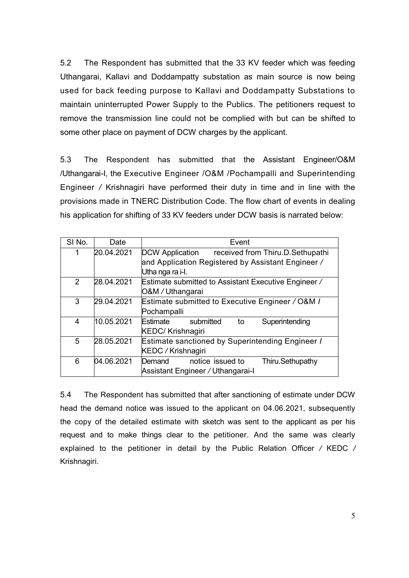5.2 The Respondent has submitted that the 33 KV feeder which was feeding Uthangarai, Kallavi and Doddampatty substation as main source is now being used for back feeding purpose to Kallavi and Doddampatty Substations to maintain uninterrupted Power Supply to the Publics. The petitioners request to remove the transmission line could not be complied with but can be shifted to some other place on payment of DCW charges by the applicant.

5.3 The Respondent has submitted that the Assistant Engineer/O&M /Uthangarai-I, the Executive Engineer /O&M /Pochampalli and Superintending Engineer */* Krishnagiri have performed their duty in time and in line with the provisions made in TNERC Distribution Code. The flow chart of events in dealing his application for shifting of 33 KV feeders under DCW basis is narrated below:

| SI No.         | Date                                                           | Event                                                      |  |  |
|----------------|----------------------------------------------------------------|------------------------------------------------------------|--|--|
| 1              | 20.04.2021                                                     | <b>DCW Application</b><br>received from Thiru.D.Sethupathi |  |  |
|                |                                                                | and Application Registered by Assistant Engineer /         |  |  |
|                |                                                                | Utha nga ra i-l.                                           |  |  |
| $\overline{2}$ | 28.04.2021                                                     | Estimate submitted to Assistant Executive Engineer /       |  |  |
|                |                                                                | O&M / Uthangarai                                           |  |  |
| 3              | 29.04.2021                                                     | Estimate submitted to Executive Engineer / O&M /           |  |  |
|                |                                                                | Pochampalli                                                |  |  |
| 4              | 10.05.2021                                                     | Estimate<br>Superintending<br>to<br>submitted              |  |  |
|                |                                                                | <b>KEDC/ Krishnagiri</b>                                   |  |  |
| 5              | Estimate sanctioned by Superintending Engineer /<br>28.05.2021 |                                                            |  |  |
|                |                                                                | KEDC / Krishnagiri                                         |  |  |
| 6              | 04.06.2021                                                     | notice issued to<br>Thiru.Sethupathy<br>Demand             |  |  |
|                |                                                                | Assistant Engineer / Uthangarai-I                          |  |  |

5.4 The Respondent has submitted that after sanctioning of estimate under DCW head the demand notice was issued to the applicant on 04.06.2021, subsequently the copy of the detailed estimate with sketch was sent to the applicant as per his request and to make things clear to the petitioner. And the same was clearly explained to the petitioner in detail by the Public Relation Officer */* KEDC */*  Krishnagiri.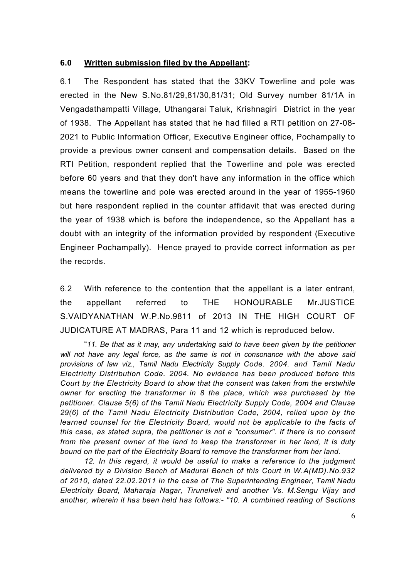## **6.0 Written submission filed by the Appellant:**

6.1 The Respondent has stated that the 33KV Towerline and pole was erected in the New S.No.81/29,81/30,81/31; Old Survey number 81/1A in Vengadathampatti Village, Uthangarai Taluk, Krishnagiri District in the year of 1938. The Appellant has stated that he had filled a RTI petition on 27-08- 2021 to Public Information Officer, Executive Engineer office, Pochampally to provide a previous owner consent and compensation details. Based on the RTI Petition, respondent replied that the Towerline and pole was erected before 60 years and that they don't have any information in the office which means the towerline and pole was erected around in the year of 1955-1960 but here respondent replied in the counter affidavit that was erected during the year of 1938 which is before the independence, so the Appellant has a doubt with an integrity of the information provided by respondent (Executive Engineer Pochampally). Hence prayed to provide correct information as per the records.

6.2 With reference to the contention that the appellant is a later entrant, the appellant referred to THE HONOURABLE Mr.JUSTICE S.VAIDYANATHAN W.P.No.9811 of 2013 IN THE HIGH COURT OF JUDICATURE AT MADRAS, Para 11 and 12 which is reproduced below.

 "*11. Be that as it may, any undertaking said to have been given by the petitioner will not have any legal force, as the same is not in consonance with the above said provisions of law viz., Tamil Nadu Electricity Supply Code. 2004. and Tamil Nadu Electricity Distribution Code. 2004. No evidence has been produced before this Court by the Electricity Board to show that the consent was taken from the erstwhile owner for erecting the transformer in 8 the place, which was purchased by the petitioner. Clause 5(6) of the Tamil Nadu Electricity Supply Code, 2004 and Clause 29(6) of the Tamil Nadu Electricity Distribution Code, 2004, relied upon by the learned counsel for the Electricity Board, would not be applicable to the facts of this case, as stated supra, the petitioner is not a "consumer". If there is no consent from the present owner of the land to keep the transformer in her land, it is duty bound on the part of the Electricity Board to remove the transformer from her land.* 

 *12. In this regard, it would be useful to make a reference to the judgment delivered by a Division Bench of Madurai Bench of this Court in W.A(MD).No.932 of 2010, dated 22.02.2011 in the case of The Superintending Engineer, Tamil Nadu Electricity Board, Maharaja Nagar, Tirunelveli and another Vs. M.Sengu Vijay and another, wherein it has been held has follows:- "10. A combined reading of Sections*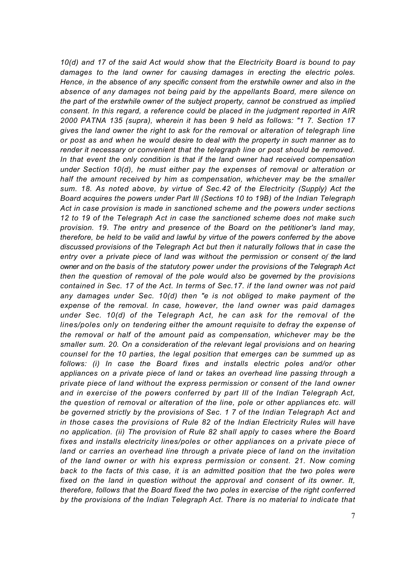*10(d) and 17 of the said Act would show that the Electricity Board is bound to pay damages to the land owner for causing damages in erecting the electric poles. Hence, in the absence of any specific consent from the erstwhile owner and also in the absence of any damages not being paid by the appellants Board, mere silence on the part of the erstwhile owner of the subject property, cannot be construed as implied consent. In this regard, a reference could be placed in the judgment reported in AIR 2000 PATNA 135 (supra), wherein it has been 9 held as follows: "1 7. Section 17 gives the land owner the right to ask for the removal or alteration of telegraph line or post as and when he would desire to deal with the property in such manner as to render it necessary or convenient that the telegraph line or post should be removed. In that event the only condition is that if the land owner had received compensation under Section 10(d), he must either pay the expenses of removal or alteration or half the amount received by him as compensation, whichever may be the smaller sum. 18. As noted above, by virtue of Sec.42 of the Electricity (Supply) Act the Board acquires the powers under Part Ill (Sections 10 to 19B) of the Indian Telegraph Act in case provision is made in sanctioned scheme and the powers under sections 12 to 19 of the Telegraph Act in case the sanctioned scheme does not make such provision. 19. The entry and presence of the Board on the petitioner's land may, therefore, be held to be valid and lawful by virtue of the powers conferred by the above discussed provisions of the Telegraph Act but then it naturally follows that in case the entry over a private piece of land was without the permission or consent of the land owner and on the basis of the statutory power under the provisions of the Telegraph Act then the question of removal of the pole would also be governed by the provisions contained in Sec. 17 of the Act. In terms of Sec.17. if the land owner was not paid any damages under Sec. 10(d) then "e is not obliged to make payment of the expense of the removal. In case, however, the land owner was paid damages under Sec. 10(d) of the Telegraph Act, he can ask for the removal of the lines/poles only on tendering either the amount requisite to defray the expense of the removal or half of the amount paid as compensation, whichever may be the smaller sum. 20. On a consideration of the relevant legal provisions and on hearing counsel for the 10 parties, the legal position that emerges can be summed up as follows: (i) In case the Board fixes and installs electric poles and/or other appliances on a private piece of land or takes an overhead line passing through a private piece of land without the express permission or consent of the land owner and in exercise of the powers conferred by part Ill of the Indian Telegraph Act, the question of removal or alteration of the line, pole or other appliances etc. will be governed strictly by the provisions of Sec. 1 7 of the Indian Telegraph Act and in those cases the provisions of Rule 82 of the Indian Electricity Rules will have no application. (ii) The provision of Rule 82 shall apply to cases where the Board fixes and installs electricity lines/poles or other appliances on a private piece of*  land or carries an overhead line through a private piece of land on the invitation *of the land owner or with his express permission or consent. 21. Now coming back to the facts of this case, it is an admitted position that the two poles were fixed on the land in question without the approval and consent of its owner. It, therefore, follows that the Board fixed the two poles in exercise of the right conferred by the provisions of the Indian Telegraph Act. There is no material to indicate that*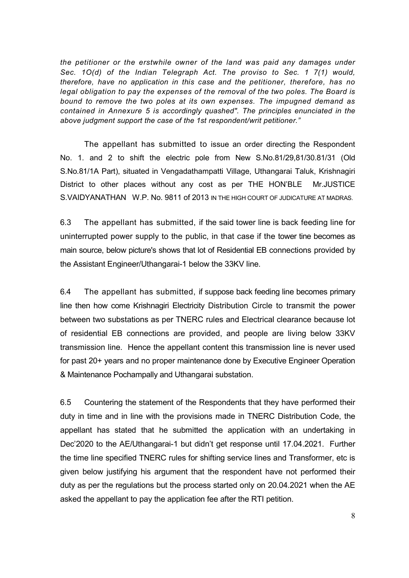*the petitioner or the erstwhile owner of the land was paid any damages under Sec. 1O(d) of the Indian Telegraph Act. The proviso to Sec. 1 7(1) would, therefore, have no application in this case and the petitioner, therefore, has no legal obligation to pay the expenses of the removal of the two poles. The Board is bound to remove the two poles at its own expenses. The impugned demand as contained in Annexure 5 is accordingly quashed". The principles enunciated in the above judgment support the case of the 1st respondent/writ petitioner."* 

The appellant has submitted to issue an order directing the Respondent No. 1. and 2 to shift the electric pole from New S.No.81/29,81/30.81/31 (Old S.No.81/1A Part), situated in Vengadathampatti Village, Uthangarai Taluk, Krishnagiri District to other places without any cost as per THE HON'BLE Mr.JUSTICE S.VAIDYANATHAN W.P. No. 9811 of 2013 IN THE HIGH COURT OF JUDICATURE AT MADRAS.

6.3 The appellant has submitted, if the said tower line is back feeding line for uninterrupted power supply to the public, in that case if the tower tine becomes as main source, below picture's shows that lot of Residential EB connections provided by the Assistant Engineer/Uthangarai-1 below the 33KV line.

6.4 The appellant has submitted, if suppose back feeding line becomes primary line then how come Krishnagiri Electricity Distribution Circle to transmit the power between two substations as per TNERC rules and Electrical clearance because lot of residential EB connections are provided, and people are living below 33KV transmission line. Hence the appellant content this transmission line is never used for past 20+ years and no proper maintenance done by Executive Engineer Operation & Maintenance Pochampally and Uthangarai substation.

6.5 Countering the statement of the Respondents that they have performed their duty in time and in line with the provisions made in TNERC Distribution Code, the appellant has stated that he submitted the application with an undertaking in Dec'2020 to the AE/Uthangarai-1 but didn't get response until 17.04.2021. Further the time line specified TNERC rules for shifting service lines and Transformer, etc is given below justifying his argument that the respondent have not performed their duty as per the regulations but the process started only on 20.04.2021 when the AE asked the appellant to pay the application fee after the RTI petition.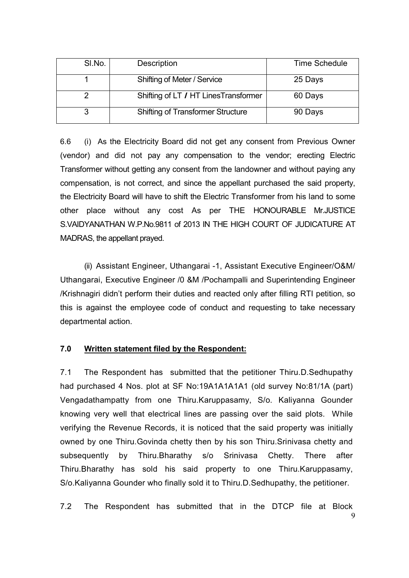| SI.No. | Description                              | <b>Time Schedule</b> |
|--------|------------------------------------------|----------------------|
|        | Shifting of Meter / Service              | 25 Days              |
|        | Shifting of LT / HT LinesTransformer     | 60 Days              |
|        | <b>Shifting of Transformer Structure</b> | 90 Days              |

6.6 (i) As the Electricity Board did not get any consent from Previous Owner (vendor) and did not pay any compensation to the vendor; erecting Electric Transformer without getting any consent from the landowner and without paying any compensation, is not correct, and since the appellant purchased the said property, the Electricity Board will have to shift the Electric Transformer from his land to some other place without any cost As per THE HONOURABLE Mr.JUSTICE S.VAIDYANATHAN W.P.No.9811 of 2013 IN THE HIGH COURT OF JUDICATURE AT MADRAS, the appellant prayed.

(ii) Assistant Engineer, Uthangarai -1, Assistant Executive Engineer/O&M/ Uthangarai, Executive Engineer /0 &M /Pochampalli and Superintending Engineer /Krishnagiri didn't perform their duties and reacted only after filling RTI petition, so this is against the employee code of conduct and requesting to take necessary departmental action.

### **7.0 Written statement filed by the Respondent:**

7.1 The Respondent has submitted that the petitioner Thiru.D.Sedhupathy had purchased 4 Nos. plot at SF No:19A1A1A1A1 (old survey No:81/1A (part) Vengadathampatty from one Thiru.Karuppasamy, S/o. Kaliyanna Gounder knowing very well that electrical lines are passing over the said plots. While verifying the Revenue Records, it is noticed that the said property was initially owned by one Thiru.Govinda chetty then by his son Thiru.Srinivasa chetty and subsequently by Thiru.Bharathy s/o Srinivasa Chetty. There after Thiru.Bharathy has sold his said property to one Thiru.Karuppasamy, S/o.Kaliyanna Gounder who finally sold it to Thiru.D.Sedhupathy, the petitioner.

9 7.2 The Respondent has submitted that in the DTCP file at Block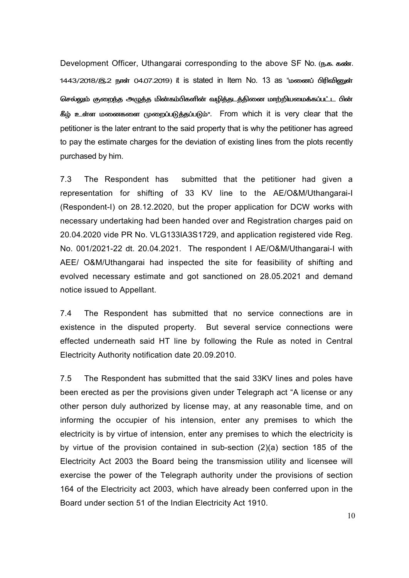Development Officer, Uthangarai corresponding to the above SF No. (ந.க. கண். 1443/2018/இ.2 நாள் 04.07.2019) it is stated in Item No. 13 as "ம<mark>ணைப் பிரிவினுள்</mark> செல்லும் குறைந்த அழுத்த மின்கம்பிகளின் வழித்தடத்தினை மாற்றியமைக்கப்பட்ட பின் கீழ் உள்ள மனைகளை முறைப்படுத்தப்படும்". From which it is very clear that the petitioner is the later entrant to the said property that is why the petitioner has agreed to pay the estimate charges for the deviation of existing lines from the plots recently purchased by him.

7.3 The Respondent has submitted that the petitioner had given a representation for shifting of 33 KV line to the AE/O&M/Uthangarai-I (Respondent-I) on 28.12.2020, but the proper application for DCW works with necessary undertaking had been handed over and Registration charges paid on 20.04.2020 vide PR No. VLG133IA3S1729, and application registered vide Reg. No. 001/2021-22 dt. 20.04.2021. The respondent I AE/O&M/Uthangarai-I with AEE/ O&M/Uthangarai had inspected the site for feasibility of shifting and evolved necessary estimate and got sanctioned on 28.05.2021 and demand notice issued to Appellant.

7.4 The Respondent has submitted that no service connections are in existence in the disputed property. But several service connections were effected underneath said HT line by following the Rule as noted in Central Electricity Authority notification date 20.09.2010.

7.5 The Respondent has submitted that the said 33KV lines and poles have been erected as per the provisions given under Telegraph act "A license or any other person duly authorized by license may, at any reasonable time, and on informing the occupier of his intension, enter any premises to which the electricity is by virtue of intension, enter any premises to which the electricity is by virtue of the provision contained in sub-section (2)(a) section 185 of the Electricity Act 2003 the Board being the transmission utility and licensee will exercise the power of the Telegraph authority under the provisions of section 164 of the Electricity act 2003, which have already been conferred upon in the Board under section 51 of the Indian Electricity Act 1910.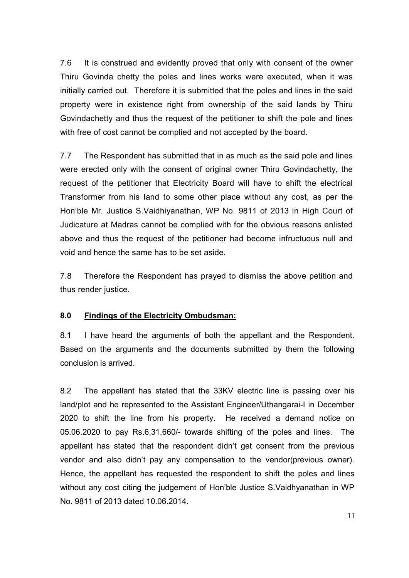7.6 It is construed and evidently proved that only with consent of the owner Thiru Govinda chetty the poles and lines works were executed, when it was initially carried out. Therefore it is submitted that the poles and lines in the said property were in existence right from ownership of the said lands by Thiru Govindachetty and thus the request of the petitioner to shift the pole and lines with free of cost cannot be complied and not accepted by the board.

7.7 The Respondent has submitted that in as much as the said pole and lines were erected only with the consent of original owner Thiru Govindachetty, the request of the petitioner that Electricity Board will have to shift the electrical Transformer from his land to some other place without any cost, as per the Hon'ble Mr. Justice S.Vaidhiyanathan, WP No. 9811 of 2013 in High Court of Judicature at Madras cannot be complied with for the obvious reasons enlisted above and thus the request of the petitioner had become infructuous null and void and hence the same has to be set aside.

7.8 Therefore the Respondent has prayed to dismiss the above petition and thus render justice.

### **8.0 Findings of the Electricity Ombudsman:**

8.1 I have heard the arguments of both the appellant and the Respondent. Based on the arguments and the documents submitted by them the following conclusion is arrived.

8.2 The appellant has stated that the 33KV electric line is passing over his land/plot and he represented to the Assistant Engineer/Uthangarai-I in December 2020 to shift the line from his property. He received a demand notice on 05.06.2020 to pay Rs.6,31,660/- towards shifting of the poles and lines. The appellant has stated that the respondent didn't get consent from the previous vendor and also didn't pay any compensation to the vendor(previous owner). Hence, the appellant has requested the respondent to shift the poles and lines without any cost citing the judgement of Hon'ble Justice S.Vaidhyanathan in WP No. 9811 of 2013 dated 10.06.2014.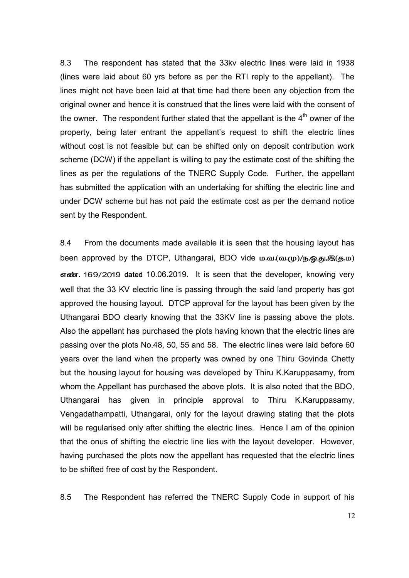8.3 The respondent has stated that the 33kv electric lines were laid in 1938 (lines were laid about 60 yrs before as per the RTI reply to the appellant). The lines might not have been laid at that time had there been any objection from the original owner and hence it is construed that the lines were laid with the consent of the owner. The respondent further stated that the appellant is the  $4<sup>th</sup>$  owner of the property, being later entrant the appellant's request to shift the electric lines without cost is not feasible but can be shifted only on deposit contribution work scheme (DCW) if the appellant is willing to pay the estimate cost of the shifting the lines as per the regulations of the TNERC Supply Code. Further, the appellant has submitted the application with an undertaking for shifting the electric line and under DCW scheme but has not paid the estimate cost as per the demand notice sent by the Respondent.

8.4 From the documents made available it is seen that the housing layout has been approved by the DTCP, Uthangarai, BDO vide ம.வ.(வ.மு)/ந,ஓ,து,இ(த.ம) orgoot areas 169/2019 dated 10.06.2019. It is seen that the developer, knowing very well that the 33 KV electric line is passing through the said land property has got approved the housing layout. DTCP approval for the layout has been given by the Uthangarai BDO clearly knowing that the 33KV line is passing above the plots. Also the appellant has purchased the plots having known that the electric lines are passing over the plots No.48, 50, 55 and 58. The electric lines were laid before 60 years over the land when the property was owned by one Thiru Govinda Chetty but the housing layout for housing was developed by Thiru K.Karuppasamy, from whom the Appellant has purchased the above plots. It is also noted that the BDO, Uthangarai has given in principle approval to Thiru K.Karuppasamy, Vengadathampatti, Uthangarai, only for the layout drawing stating that the plots will be regularised only after shifting the electric lines. Hence I am of the opinion that the onus of shifting the electric line lies with the layout developer. However, having purchased the plots now the appellant has requested that the electric lines to be shifted free of cost by the Respondent.

8.5 The Respondent has referred the TNERC Supply Code in support of his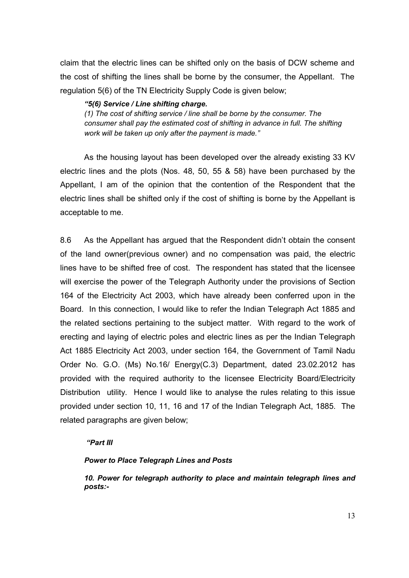claim that the electric lines can be shifted only on the basis of DCW scheme and the cost of shifting the lines shall be borne by the consumer, the Appellant. The regulation 5(6) of the TN Electricity Supply Code is given below;

#### *"5(6) Service / Line shifting charge.*

*(1) The cost of shifting service / line shall be borne by the consumer. The consumer shall pay the estimated cost of shifting in advance in full. The shifting work will be taken up only after the payment is made."* 

As the housing layout has been developed over the already existing 33 KV electric lines and the plots (Nos. 48, 50, 55 & 58) have been purchased by the Appellant, I am of the opinion that the contention of the Respondent that the electric lines shall be shifted only if the cost of shifting is borne by the Appellant is acceptable to me.

8.6 As the Appellant has argued that the Respondent didn't obtain the consent of the land owner(previous owner) and no compensation was paid, the electric lines have to be shifted free of cost. The respondent has stated that the licensee will exercise the power of the Telegraph Authority under the provisions of Section 164 of the Electricity Act 2003, which have already been conferred upon in the Board. In this connection, I would like to refer the Indian Telegraph Act 1885 and the related sections pertaining to the subject matter. With regard to the work of erecting and laying of electric poles and electric lines as per the Indian Telegraph Act 1885 Electricity Act 2003, under section 164, the Government of Tamil Nadu Order No. G.O. (Ms) No.16/ Energy(C.3) Department, dated 23.02.2012 has provided with the required authority to the licensee Electricity Board/Electricity Distribution utility. Hence I would like to analyse the rules relating to this issue provided under section 10, 11, 16 and 17 of the Indian Telegraph Act, 1885. The related paragraphs are given below;

#### *"Part III*

#### *Power to Place Telegraph Lines and Posts*

*10. Power for telegraph authority to place and maintain telegraph lines and posts:-*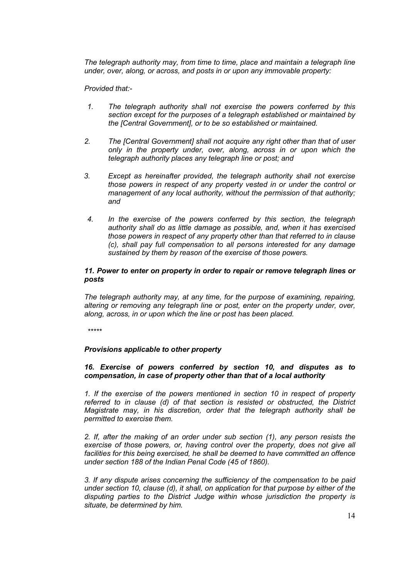*The telegraph authority may, from time to time, place and maintain a telegraph line under, over, along, or across, and posts in or upon any immovable property:* 

*Provided that:-* 

- *1. The telegraph authority shall not exercise the powers conferred by this section except for the purposes of a telegraph established or maintained by the [Central Government], or to be so established or maintained.*
- *2. The [Central Government] shall not acquire any right other than that of user only in the property under, over, along, across in or upon which the telegraph authority places any telegraph line or post; and*
- *3. Except as hereinafter provided, the telegraph authority shall not exercise those powers in respect of any property vested in or under the control or management of any local authority, without the permission of that authority; and*
- *4. In the exercise of the powers conferred by this section, the telegraph authority shall do as little damage as possible, and, when it has exercised those powers in respect of any property other than that referred to in clause (c), shall pay full compensation to all persons interested for any damage sustained by them by reason of the exercise of those powers.*

#### *11. Power to enter on property in order to repair or remove telegraph lines or posts*

*The telegraph authority may, at any time, for the purpose of examining, repairing, altering or removing any telegraph line or post, enter on the property under, over, along, across, in or upon which the line or post has been placed.* 

*\*\*\*\*\** 

#### *Provisions applicable to other property*

#### *16. Exercise of powers conferred by section 10, and disputes as to compensation, in case of property other than that of a local authority*

*1. If the exercise of the powers mentioned in section 10 in respect of property referred to in clause (d) of that section is resisted or obstructed, the District Magistrate may, in his discretion, order that the telegraph authority shall be permitted to exercise them.* 

*2. If, after the making of an order under sub section (1), any person resists the exercise of those powers, or, having control over the property, does not give all facilities for this being exercised, he shall be deemed to have committed an offence under section 188 of the Indian Penal Code (45 of 1860).* 

*3. If any dispute arises concerning the sufficiency of the compensation to be paid under section 10, clause (d), it shall, on application for that purpose by either of the disputing parties to the District Judge within whose jurisdiction the property is situate, be determined by him.*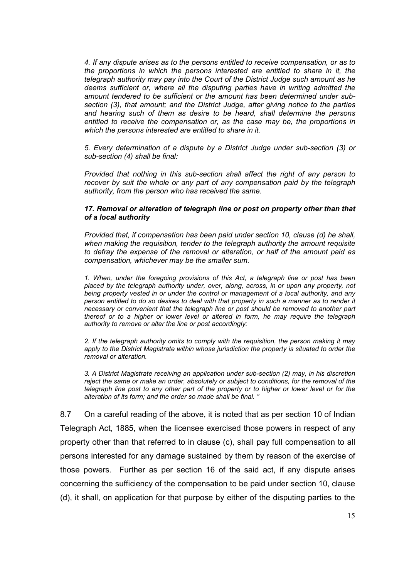*4. If any dispute arises as to the persons entitled to receive compensation, or as to the proportions in which the persons interested are entitled to share in it, the telegraph authority may pay into the Court of the District Judge such amount as he deems sufficient or, where all the disputing parties have in writing admitted the amount tendered to be sufficient or the amount has been determined under subsection (3), that amount; and the District Judge, after giving notice to the parties and hearing such of them as desire to be heard, shall determine the persons entitled to receive the compensation or, as the case may be, the proportions in which the persons interested are entitled to share in it.* 

*5. Every determination of a dispute by a District Judge under sub-section (3) or sub-section (4) shall be final:* 

*Provided that nothing in this sub-section shall affect the right of any person to recover by suit the whole or any part of any compensation paid by the telegraph authority, from the person who has received the same.* 

#### *17. Removal or alteration of telegraph line or post on property other than that of a local authority*

*Provided that, if compensation has been paid under section 10, clause (d) he shall, when making the requisition, tender to the telegraph authority the amount requisite to defray the expense of the removal or alteration, or half of the amount paid as compensation, whichever may be the smaller sum.* 

*1. When, under the foregoing provisions of this Act, a telegraph line or post has been placed by the telegraph authority under, over, along, across, in or upon any property, not being property vested in or under the control or management of a local authority, and any person entitled to do so desires to deal with that property in such a manner as to render it necessary or convenient that the telegraph line or post should be removed to another part thereof or to a higher or lower level or altered in form, he may require the telegraph authority to remove or alter the line or post accordingly:* 

*2. If the telegraph authority omits to comply with the requisition, the person making it may*  apply to the District Magistrate within whose jurisdiction the property is situated to order the *removal or alteration.* 

*3. A District Magistrate receiving an application under sub-section (2) may, in his discretion reject the same or make an order, absolutely or subject to conditions, for the removal of the telegraph line post to any other part of the property or to higher or lower level or for the alteration of its form; and the order so made shall be final. "*

8.7 On a careful reading of the above, it is noted that as per section 10 of Indian Telegraph Act, 1885, when the licensee exercised those powers in respect of any property other than that referred to in clause (c), shall pay full compensation to all persons interested for any damage sustained by them by reason of the exercise of those powers. Further as per section 16 of the said act, if any dispute arises concerning the sufficiency of the compensation to be paid under section 10, clause (d), it shall, on application for that purpose by either of the disputing parties to the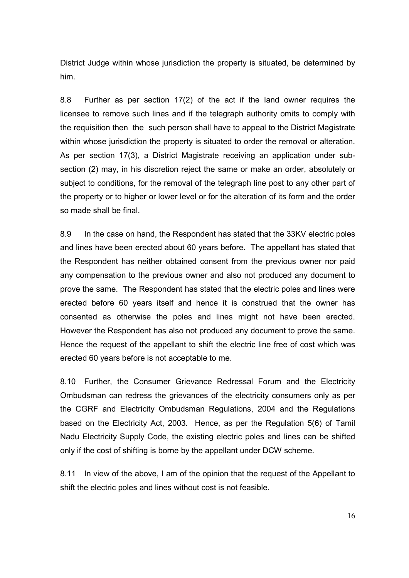District Judge within whose jurisdiction the property is situated, be determined by him.

8.8 Further as per section 17(2) of the act if the land owner requires the licensee to remove such lines and if the telegraph authority omits to comply with the requisition then the such person shall have to appeal to the District Magistrate within whose jurisdiction the property is situated to order the removal or alteration. As per section 17(3), a District Magistrate receiving an application under subsection (2) may, in his discretion reject the same or make an order, absolutely or subject to conditions, for the removal of the telegraph line post to any other part of the property or to higher or lower level or for the alteration of its form and the order so made shall be final.

8.9 In the case on hand, the Respondent has stated that the 33KV electric poles and lines have been erected about 60 years before. The appellant has stated that the Respondent has neither obtained consent from the previous owner nor paid any compensation to the previous owner and also not produced any document to prove the same. The Respondent has stated that the electric poles and lines were erected before 60 years itself and hence it is construed that the owner has consented as otherwise the poles and lines might not have been erected. However the Respondent has also not produced any document to prove the same. Hence the request of the appellant to shift the electric line free of cost which was erected 60 years before is not acceptable to me.

8.10 Further, the Consumer Grievance Redressal Forum and the Electricity Ombudsman can redress the grievances of the electricity consumers only as per the CGRF and Electricity Ombudsman Regulations, 2004 and the Regulations based on the Electricity Act, 2003. Hence, as per the Regulation 5(6) of Tamil Nadu Electricity Supply Code, the existing electric poles and lines can be shifted only if the cost of shifting is borne by the appellant under DCW scheme.

8.11 In view of the above, I am of the opinion that the request of the Appellant to shift the electric poles and lines without cost is not feasible.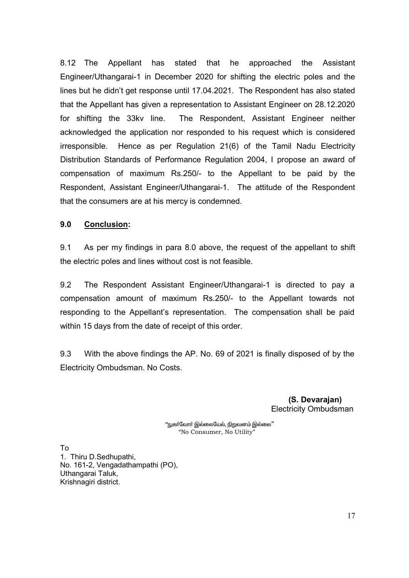8.12 The Appellant has stated that he approached the Assistant Engineer/Uthangarai-1 in December 2020 for shifting the electric poles and the lines but he didn't get response until 17.04.2021. The Respondent has also stated that the Appellant has given a representation to Assistant Engineer on 28.12.2020 for shifting the 33kv line. The Respondent, Assistant Engineer neither acknowledged the application nor responded to his request which is considered irresponsible. Hence as per Regulation 21(6) of the Tamil Nadu Electricity Distribution Standards of Performance Regulation 2004, I propose an award of compensation of maximum Rs.250/- to the Appellant to be paid by the Respondent, Assistant Engineer/Uthangarai-1. The attitude of the Respondent that the consumers are at his mercy is condemned.

### **9.0 Conclusion:**

9.1 As per my findings in para 8.0 above, the request of the appellant to shift the electric poles and lines without cost is not feasible.

9.2 The Respondent Assistant Engineer/Uthangarai-1 is directed to pay a compensation amount of maximum Rs.250/- to the Appellant towards not responding to the Appellant's representation. The compensation shall be paid within 15 days from the date of receipt of this order.

9.3 With the above findings the AP. No. 69 of 2021 is finally disposed of by the Electricity Ombudsman. No Costs.

> **(S. Devarajan)**  Electricity Ombudsman

"நுகா்வோா் இல்லையேல், நிறுவனம் இல்லை" "No Consumer, No Utility"

To 1. Thiru D.Sedhupathi, No. 161-2, Vengadathampathi (PO), Uthangarai Taluk, Krishnagiri district.